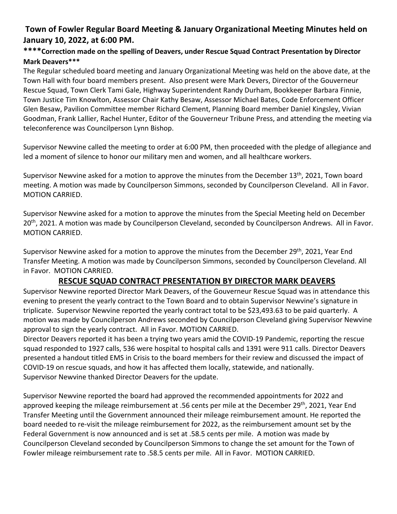## **Town of Fowler Regular Board Meeting & January Organizational Meeting Minutes held on January 10, 2022, at 6:00 PM.**

#### **\*\*\*\*Correction made on the spelling of Deavers, under Rescue Squad Contract Presentation by Director Mark Deavers\*\*\***

The Regular scheduled board meeting and January Organizational Meeting was held on the above date, at the Town Hall with four board members present. Also present were Mark Devers, Director of the Gouverneur Rescue Squad, Town Clerk Tami Gale, Highway Superintendent Randy Durham, Bookkeeper Barbara Finnie, Town Justice Tim Knowlton, Assessor Chair Kathy Besaw, Assessor Michael Bates, Code Enforcement Officer Glen Besaw, Pavilion Committee member Richard Clement, Planning Board member Daniel Kingsley, Vivian Goodman, Frank Lallier, Rachel Hunter, Editor of the Gouverneur Tribune Press, and attending the meeting via teleconference was Councilperson Lynn Bishop.

Supervisor Newvine called the meeting to order at 6:00 PM, then proceeded with the pledge of allegiance and led a moment of silence to honor our military men and women, and all healthcare workers.

Supervisor Newvine asked for a motion to approve the minutes from the December 13<sup>th</sup>, 2021, Town board meeting. A motion was made by Councilperson Simmons, seconded by Councilperson Cleveland. All in Favor. MOTION CARRIED.

Supervisor Newvine asked for a motion to approve the minutes from the Special Meeting held on December 20<sup>th</sup>, 2021. A motion was made by Councilperson Cleveland, seconded by Councilperson Andrews. All in Favor. MOTION CARRIED.

Supervisor Newvine asked for a motion to approve the minutes from the December 29<sup>th</sup>, 2021, Year End Transfer Meeting. A motion was made by Councilperson Simmons, seconded by Councilperson Cleveland. All in Favor. MOTION CARRIED.

## **RESCUE SQUAD CONTRACT PRESENTATION BY DIRECTOR MARK DEAVERS**

Supervisor Newvine reported Director Mark Deavers, of the Gouverneur Rescue Squad was in attendance this evening to present the yearly contract to the Town Board and to obtain Supervisor Newvine's signature in triplicate. Supervisor Newvine reported the yearly contract total to be \$23,493.63 to be paid quarterly. A motion was made by Councilperson Andrews seconded by Councilperson Cleveland giving Supervisor Newvine approval to sign the yearly contract. All in Favor. MOTION CARRIED.

Director Deavers reported it has been a trying two years amid the COVID-19 Pandemic, reporting the rescue squad responded to 1927 calls, 536 were hospital to hospital calls and 1391 were 911 calls. Director Deavers presented a handout titled EMS in Crisis to the board members for their review and discussed the impact of COVID-19 on rescue squads, and how it has affected them locally, statewide, and nationally. Supervisor Newvine thanked Director Deavers for the update.

Supervisor Newvine reported the board had approved the recommended appointments for 2022 and approved keeping the mileage reimbursement at .56 cents per mile at the December 29<sup>th</sup>, 2021, Year End Transfer Meeting until the Government announced their mileage reimbursement amount. He reported the board needed to re-visit the mileage reimbursement for 2022, as the reimbursement amount set by the Federal Government is now announced and is set at .58.5 cents per mile. A motion was made by Councilperson Cleveland seconded by Councilperson Simmons to change the set amount for the Town of Fowler mileage reimbursement rate to .58.5 cents per mile. All in Favor. MOTION CARRIED.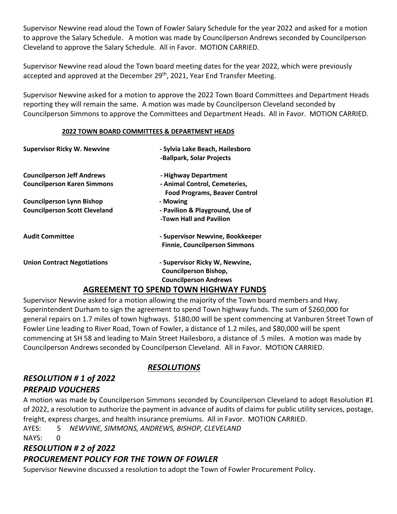Supervisor Newvine read aloud the Town of Fowler Salary Schedule for the year 2022 and asked for a motion to approve the Salary Schedule. A motion was made by Councilperson Andrews seconded by Councilperson Cleveland to approve the Salary Schedule. All in Favor. MOTION CARRIED.

Supervisor Newvine read aloud the Town board meeting dates for the year 2022, which were previously accepted and approved at the December 29<sup>th</sup>, 2021, Year End Transfer Meeting.

Supervisor Newvine asked for a motion to approve the 2022 Town Board Committees and Department Heads reporting they will remain the same. A motion was made by Councilperson Cleveland seconded by Councilperson Simmons to approve the Committees and Department Heads. All in Favor. MOTION CARRIED.

#### **2022 TOWN BOARD COMMITTEES & DEPARTMENT HEADS**

| <b>Supervisor Ricky W. Newvine</b>   | - Sylvia Lake Beach, Hailesboro<br>-Ballpark, Solar Projects                                   |
|--------------------------------------|------------------------------------------------------------------------------------------------|
| <b>Councilperson Jeff Andrews</b>    | - Highway Department                                                                           |
| <b>Councilperson Karen Simmons</b>   | - Animal Control, Cemeteries,<br><b>Food Programs, Beaver Control</b>                          |
| <b>Councilperson Lynn Bishop</b>     | - Mowing                                                                                       |
| <b>Councilperson Scott Cleveland</b> | - Pavilion & Playground, Use of<br>-Town Hall and Pavilion                                     |
| <b>Audit Committee</b>               | - Supervisor Newvine, Bookkeeper<br><b>Finnie, Councilperson Simmons</b>                       |
| <b>Union Contract Negotiations</b>   | - Supervisor Ricky W, Newvine,<br><b>Councilperson Bishop,</b><br><b>Councilperson Andrews</b> |
|                                      | ACDEEMENT TO CDEND TOWN HIGHWAY ELINDS                                                         |

#### **AGREEMENT TO SPEND TOWN HIGHWAY FUNDS**

Supervisor Newvine asked for a motion allowing the majority of the Town board members and Hwy. Superintendent Durham to sign the agreement to spend Town highway funds. The sum of \$260,000 for general repairs on 1.7 miles of town highways. \$180,00 will be spent commencing at Vanburen Street Town of Fowler Line leading to River Road, Town of Fowler, a distance of 1.2 miles, and \$80,000 will be spent commencing at SH 58 and leading to Main Street Hailesboro, a distance of .5 miles. A motion was made by Councilperson Andrews seconded by Councilperson Cleveland. All in Favor. MOTION CARRIED.

# *RESOLUTION # 1 of 2022 PREPAID VOUCHERS*

#### *RESOLUTIONS*

A motion was made by Councilperson Simmons seconded by Councilperson Cleveland to adopt Resolution #1 of 2022, a resolution to authorize the payment in advance of audits of claims for public utility services, postage, freight, express charges, and health insurance premiums. All in Favor. MOTION CARRIED.

AYES: 5 *NEWVINE, SIMMONS, ANDREWS, BISHOP, CLEVELAND*

NAYS: 0

# *RESOLUTION # 2 of 2022 PROCUREMENT POLICY FOR THE TOWN OF FOWLER*

Supervisor Newvine discussed a resolution to adopt the Town of Fowler Procurement Policy.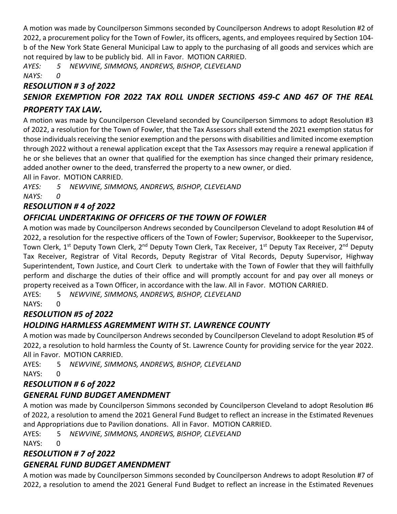A motion was made by Councilperson Simmons seconded by Councilperson Andrews to adopt Resolution #2 of 2022, a procurement policy for the Town of Fowler, its officers, agents, and employees required by Section 104 b of the New York State General Municipal Law to apply to the purchasing of all goods and services which are not required by law to be publicly bid. All in Favor. MOTION CARRIED.

*AYES: 5 NEWVINE, SIMMONS, ANDREWS, BISHOP, CLEVELAND NAYS: 0*

## *RESOLUTION # 3 of 2022 SENIOR EXEMPTION FOR 2022 TAX ROLL UNDER SECTIONS 459-C AND 467 OF THE REAL PROPERTY TAX LAW.*

A motion was made by Councilperson Cleveland seconded by Councilperson Simmons to adopt Resolution #3 of 2022, a resolution for the Town of Fowler, that the Tax Assessors shall extend the 2021 exemption status for those individuals receiving the senior exemption and the persons with disabilities and limited income exemption through 2022 without a renewal application except that the Tax Assessors may require a renewal application if he or she believes that an owner that qualified for the exemption has since changed their primary residence, added another owner to the deed, transferred the property to a new owner, or died.

All in Favor. MOTION CARRIED.

*AYES: 5 NEWVINE, SIMMONS, ANDREWS, BISHOP, CLEVELAND NAYS: 0*

# *RESOLUTION # 4 of 2022*

# *OFFICIAL UNDERTAKING OF OFFICERS OF THE TOWN OF FOWLER*

A motion was made by Councilperson Andrews seconded by Councilperson Cleveland to adopt Resolution #4 of 2022, a resolution for the respective officers of the Town of Fowler; Supervisor, Bookkeeper to the Supervisor, Town Clerk, 1<sup>st</sup> Deputy Town Clerk, 2<sup>nd</sup> Deputy Town Clerk, Tax Receiver, 1<sup>st</sup> Deputy Tax Receiver, 2<sup>nd</sup> Deputy Tax Receiver, Registrar of Vital Records, Deputy Registrar of Vital Records, Deputy Supervisor, Highway Superintendent, Town Justice, and Court Clerk to undertake with the Town of Fowler that they will faithfully perform and discharge the duties of their office and will promptly account for and pay over all moneys or property received as a Town Officer, in accordance with the law. All in Favor. MOTION CARRIED.

AYES: 5 *NEWVINE, SIMMONS, ANDREWS, BISHOP, CLEVELAND*

NAYS: 0

# *RESOLUTION #5 of 2022*

# *HOLDING HARMLESS AGREMMENT WITH ST. LAWRENCE COUNTY*

A motion was made by Councilperson Andrews seconded by Councilperson Cleveland to adopt Resolution #5 of 2022, a resolution to hold harmless the County of St. Lawrence County for providing service for the year 2022. All in Favor. MOTION CARRIED.

AYES: 5 *NEWVINE, SIMMONS, ANDREWS, BISHOP, CLEVELAND* NAYS: 0

# *RESOLUTION # 6 of 2022*

# *GENERAL FUND BUDGET AMENDMENT*

A motion was made by Councilperson Simmons seconded by Councilperson Cleveland to adopt Resolution #6 of 2022, a resolution to amend the 2021 General Fund Budget to reflect an increase in the Estimated Revenues and Appropriations due to Pavilion donations. All in Favor. MOTION CARRIED.

AYES: 5 *NEWVINE, SIMMONS, ANDREWS, BISHOP, CLEVELAND*

NAYS: 0

# *RESOLUTION # 7 of 2022*

# *GENERAL FUND BUDGET AMENDMENT*

A motion was made by Councilperson Simmons seconded by Councilperson Andrews to adopt Resolution #7 of 2022, a resolution to amend the 2021 General Fund Budget to reflect an increase in the Estimated Revenues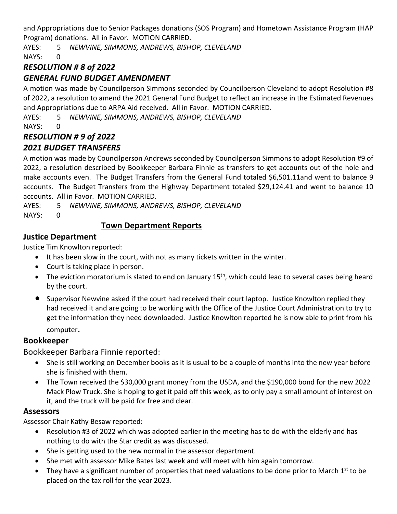and Appropriations due to Senior Packages donations (SOS Program) and Hometown Assistance Program (HAP Program) donations. All in Favor. MOTION CARRIED.

AYES: 5 *NEWVINE, SIMMONS, ANDREWS, BISHOP, CLEVELAND*

NAYS: 0

## *RESOLUTION # 8 of 2022*

## *GENERAL FUND BUDGET AMENDMENT*

A motion was made by Councilperson Simmons seconded by Councilperson Cleveland to adopt Resolution #8 of 2022, a resolution to amend the 2021 General Fund Budget to reflect an increase in the Estimated Revenues and Appropriations due to ARPA Aid received. All in Favor. MOTION CARRIED.

AYES: 5 *NEWVINE, SIMMONS, ANDREWS, BISHOP, CLEVELAND*

NAYS: 0

# *RESOLUTION # 9 of 2022*

## *2021 BUDGET TRANSFERS*

A motion was made by Councilperson Andrews seconded by Councilperson Simmons to adopt Resolution #9 of 2022, a resolution described by Bookkeeper Barbara Finnie as transfers to get accounts out of the hole and make accounts even. The Budget Transfers from the General Fund totaled \$6,501.11and went to balance 9 accounts. The Budget Transfers from the Highway Department totaled \$29,124.41 and went to balance 10 accounts. All in Favor. MOTION CARRIED.

AYES: 5 *NEWVINE, SIMMONS, ANDREWS, BISHOP, CLEVELAND* NAYS: 0

#### **Town Department Reports**

## **Justice Department**

Justice Tim Knowlton reported:

- It has been slow in the court, with not as many tickets written in the winter.
- Court is taking place in person.
- The eviction moratorium is slated to end on January  $15<sup>th</sup>$ , which could lead to several cases being heard by the court.
- Supervisor Newvine asked if the court had received their court laptop. Justice Knowlton replied they had received it and are going to be working with the Office of the Justice Court Administration to try to get the information they need downloaded. Justice Knowlton reported he is now able to print from his computer.

#### **Bookkeeper**

Bookkeeper Barbara Finnie reported:

- She is still working on December books as it is usual to be a couple of months into the new year before she is finished with them.
- The Town received the \$30,000 grant money from the USDA, and the \$190,000 bond for the new 2022 Mack Plow Truck. She is hoping to get it paid off this week, as to only pay a small amount of interest on it, and the truck will be paid for free and clear.

#### **Assessors**

Assessor Chair Kathy Besaw reported:

- Resolution #3 of 2022 which was adopted earlier in the meeting has to do with the elderly and has nothing to do with the Star credit as was discussed.
- She is getting used to the new normal in the assessor department.
- She met with assessor Mike Bates last week and will meet with him again tomorrow.
- They have a significant number of properties that need valuations to be done prior to March  $1<sup>st</sup>$  to be placed on the tax roll for the year 2023.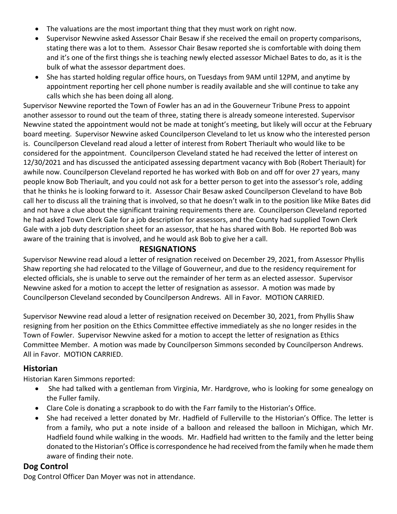- The valuations are the most important thing that they must work on right now.
- Supervisor Newvine asked Assessor Chair Besaw if she received the email on property comparisons, stating there was a lot to them. Assessor Chair Besaw reported she is comfortable with doing them and it's one of the first things she is teaching newly elected assessor Michael Bates to do, as it is the bulk of what the assessor department does.
- She has started holding regular office hours, on Tuesdays from 9AM until 12PM, and anytime by appointment reporting her cell phone number is readily available and she will continue to take any calls which she has been doing all along.

Supervisor Newvine reported the Town of Fowler has an ad in the Gouverneur Tribune Press to appoint another assessor to round out the team of three, stating there is already someone interested. Supervisor Newvine stated the appointment would not be made at tonight's meeting, but likely will occur at the February board meeting. Supervisor Newvine asked Councilperson Cleveland to let us know who the interested person is. Councilperson Cleveland read aloud a letter of interest from Robert Theriault who would like to be considered for the appointment. Councilperson Cleveland stated he had received the letter of interest on 12/30/2021 and has discussed the anticipated assessing department vacancy with Bob (Robert Theriault) for awhile now. Councilperson Cleveland reported he has worked with Bob on and off for over 27 years, many people know Bob Theriault, and you could not ask for a better person to get into the assessor's role, adding that he thinks he is looking forward to it. Assessor Chair Besaw asked Councilperson Cleveland to have Bob call her to discuss all the training that is involved, so that he doesn't walk in to the position like Mike Bates did and not have a clue about the significant training requirements there are. Councilperson Cleveland reported he had asked Town Clerk Gale for a job description for assessors, and the County had supplied Town Clerk Gale with a job duty description sheet for an assessor, that he has shared with Bob. He reported Bob was aware of the training that is involved, and he would ask Bob to give her a call.

#### **RESIGNATIONS**

Supervisor Newvine read aloud a letter of resignation received on December 29, 2021, from Assessor Phyllis Shaw reporting she had relocated to the Village of Gouverneur, and due to the residency requirement for elected officials, she is unable to serve out the remainder of her term as an elected assessor. Supervisor Newvine asked for a motion to accept the letter of resignation as assessor. A motion was made by Councilperson Cleveland seconded by Councilperson Andrews. All in Favor. MOTION CARRIED.

Supervisor Newvine read aloud a letter of resignation received on December 30, 2021, from Phyllis Shaw resigning from her position on the Ethics Committee effective immediately as she no longer resides in the Town of Fowler. Supervisor Newvine asked for a motion to accept the letter of resignation as Ethics Committee Member. A motion was made by Councilperson Simmons seconded by Councilperson Andrews. All in Favor. MOTION CARRIED.

#### **Historian**

Historian Karen Simmons reported:

- She had talked with a gentleman from Virginia, Mr. Hardgrove, who is looking for some genealogy on the Fuller family.
- Clare Cole is donating a scrapbook to do with the Farr family to the Historian's Office.
- She had received a letter donated by Mr. Hadfield of Fullerville to the Historian's Office. The letter is from a family, who put a note inside of a balloon and released the balloon in Michigan, which Mr. Hadfield found while walking in the woods. Mr. Hadfield had written to the family and the letter being donated to the Historian's Office is correspondence he had received from the family when he made them aware of finding their note.

#### **Dog Control**

Dog Control Officer Dan Moyer was not in attendance.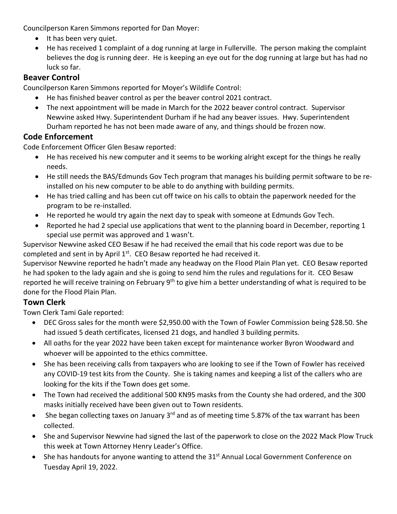Councilperson Karen Simmons reported for Dan Moyer:

- It has been very quiet.
- He has received 1 complaint of a dog running at large in Fullerville. The person making the complaint believes the dog is running deer. He is keeping an eye out for the dog running at large but has had no luck so far.

## **Beaver Control**

Councilperson Karen Simmons reported for Moyer's Wildlife Control:

- He has finished beaver control as per the beaver control 2021 contract.
- The next appointment will be made in March for the 2022 beaver control contract. Supervisor Newvine asked Hwy. Superintendent Durham if he had any beaver issues. Hwy. Superintendent Durham reported he has not been made aware of any, and things should be frozen now.

## **Code Enforcement**

Code Enforcement Officer Glen Besaw reported:

- He has received his new computer and it seems to be working alright except for the things he really needs.
- He still needs the BAS/Edmunds Gov Tech program that manages his building permit software to be reinstalled on his new computer to be able to do anything with building permits.
- He has tried calling and has been cut off twice on his calls to obtain the paperwork needed for the program to be re-installed.
- He reported he would try again the next day to speak with someone at Edmunds Gov Tech.
- Reported he had 2 special use applications that went to the planning board in December, reporting 1 special use permit was approved and 1 wasn't.

Supervisor Newvine asked CEO Besaw if he had received the email that his code report was due to be completed and sent in by April 1st. CEO Besaw reported he had received it.

Supervisor Newvine reported he hadn't made any headway on the Flood Plain Plan yet. CEO Besaw reported he had spoken to the lady again and she is going to send him the rules and regulations for it. CEO Besaw reported he will receive training on February 9<sup>th</sup> to give him a better understanding of what is required to be done for the Flood Plain Plan.

## **Town Clerk**

Town Clerk Tami Gale reported:

- DEC Gross sales for the month were \$2,950.00 with the Town of Fowler Commission being \$28.50. She had issued 5 death certificates, licensed 21 dogs, and handled 3 building permits.
- All oaths for the year 2022 have been taken except for maintenance worker Byron Woodward and whoever will be appointed to the ethics committee.
- She has been receiving calls from taxpayers who are looking to see if the Town of Fowler has received any COVID-19 test kits from the County. She is taking names and keeping a list of the callers who are looking for the kits if the Town does get some.
- The Town had received the additional 500 KN95 masks from the County she had ordered, and the 300 masks initially received have been given out to Town residents.
- She began collecting taxes on January  $3^{rd}$  and as of meeting time 5.87% of the tax warrant has been collected.
- She and Supervisor Newvine had signed the last of the paperwork to close on the 2022 Mack Plow Truck this week at Town Attorney Henry Leader's Office.
- She has handouts for anyone wanting to attend the 31<sup>st</sup> Annual Local Government Conference on Tuesday April 19, 2022.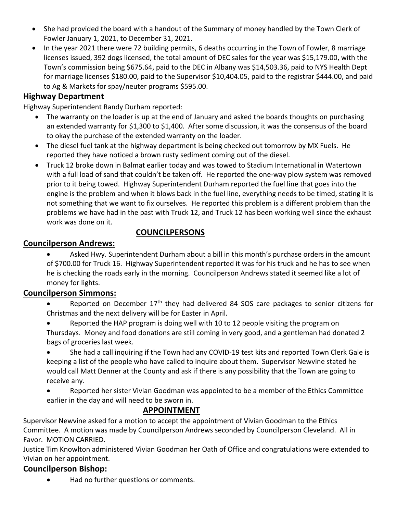- She had provided the board with a handout of the Summary of money handled by the Town Clerk of Fowler January 1, 2021, to December 31, 2021.
- In the year 2021 there were 72 building permits, 6 deaths occurring in the Town of Fowler, 8 marriage licenses issued, 392 dogs licensed, the total amount of DEC sales for the year was \$15,179.00, with the Town's commission being \$675.64, paid to the DEC in Albany was \$14,503.36, paid to NYS Health Dept for marriage licenses \$180.00, paid to the Supervisor \$10,404.05, paid to the registrar \$444.00, and paid to Ag & Markets for spay/neuter programs \$595.00.

#### **Highway Department**

Highway Superintendent Randy Durham reported:

- The warranty on the loader is up at the end of January and asked the boards thoughts on purchasing an extended warranty for \$1,300 to \$1,400. After some discussion, it was the consensus of the board to okay the purchase of the extended warranty on the loader.
- The diesel fuel tank at the highway department is being checked out tomorrow by MX Fuels. He reported they have noticed a brown rusty sediment coming out of the diesel.
- Truck 12 broke down in Balmat earlier today and was towed to Stadium International in Watertown with a full load of sand that couldn't be taken off. He reported the one-way plow system was removed prior to it being towed. Highway Superintendent Durham reported the fuel line that goes into the engine is the problem and when it blows back in the fuel line, everything needs to be timed, stating it is not something that we want to fix ourselves. He reported this problem is a different problem than the problems we have had in the past with Truck 12, and Truck 12 has been working well since the exhaust work was done on it.

#### **COUNCILPERSONS**

#### **Councilperson Andrews:**

• Asked Hwy. Superintendent Durham about a bill in this month's purchase orders in the amount of \$700.00 for Truck 16. Highway Superintendent reported it was for his truck and he has to see when he is checking the roads early in the morning. Councilperson Andrews stated it seemed like a lot of money for lights.

#### **Councilperson Simmons:**

- Reported on December 17<sup>th</sup> they had delivered 84 SOS care packages to senior citizens for Christmas and the next delivery will be for Easter in April.
- Reported the HAP program is doing well with 10 to 12 people visiting the program on Thursdays. Money and food donations are still coming in very good, and a gentleman had donated 2 bags of groceries last week.
- She had a call inquiring if the Town had any COVID-19 test kits and reported Town Clerk Gale is keeping a list of the people who have called to inquire about them. Supervisor Newvine stated he would call Matt Denner at the County and ask if there is any possibility that the Town are going to receive any.
- Reported her sister Vivian Goodman was appointed to be a member of the Ethics Committee earlier in the day and will need to be sworn in.

#### **APPOINTMENT**

Supervisor Newvine asked for a motion to accept the appointment of Vivian Goodman to the Ethics Committee. A motion was made by Councilperson Andrews seconded by Councilperson Cleveland. All in Favor. MOTION CARRIED.

Justice Tim Knowlton administered Vivian Goodman her Oath of Office and congratulations were extended to Vivian on her appointment.

#### **Councilperson Bishop:**

• Had no further questions or comments.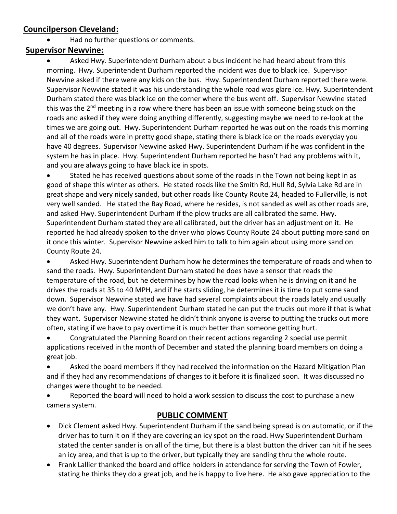### **Councilperson Cleveland:**

• Had no further questions or comments.

#### **Supervisor Newvine:**

Asked Hwy. Superintendent Durham about a bus incident he had heard about from this morning. Hwy. Superintendent Durham reported the incident was due to black ice. Supervisor Newvine asked if there were any kids on the bus. Hwy. Superintendent Durham reported there were. Supervisor Newvine stated it was his understanding the whole road was glare ice. Hwy. Superintendent Durham stated there was black ice on the corner where the bus went off. Supervisor Newvine stated this was the 2<sup>nd</sup> meeting in a row where there has been an issue with someone being stuck on the roads and asked if they were doing anything differently, suggesting maybe we need to re-look at the times we are going out. Hwy. Superintendent Durham reported he was out on the roads this morning and all of the roads were in pretty good shape, stating there is black ice on the roads everyday you have 40 degrees. Supervisor Newvine asked Hwy. Superintendent Durham if he was confident in the system he has in place. Hwy. Superintendent Durham reported he hasn't had any problems with it, and you are always going to have black ice in spots.

• Stated he has received questions about some of the roads in the Town not being kept in as good of shape this winter as others. He stated roads like the Smith Rd, Hull Rd, Sylvia Lake Rd are in great shape and very nicely sanded, but other roads like County Route 24, headed to Fullerville, is not very well sanded. He stated the Bay Road, where he resides, is not sanded as well as other roads are, and asked Hwy. Superintendent Durham if the plow trucks are all calibrated the same. Hwy. Superintendent Durham stated they are all calibrated, but the driver has an adjustment on it. He reported he had already spoken to the driver who plows County Route 24 about putting more sand on it once this winter. Supervisor Newvine asked him to talk to him again about using more sand on County Route 24.

• Asked Hwy. Superintendent Durham how he determines the temperature of roads and when to sand the roads. Hwy. Superintendent Durham stated he does have a sensor that reads the temperature of the road, but he determines by how the road looks when he is driving on it and he drives the roads at 35 to 40 MPH, and if he starts sliding, he determines it is time to put some sand down. Supervisor Newvine stated we have had several complaints about the roads lately and usually we don't have any. Hwy. Superintendent Durham stated he can put the trucks out more if that is what they want. Supervisor Newvine stated he didn't think anyone is averse to putting the trucks out more often, stating if we have to pay overtime it is much better than someone getting hurt.

• Congratulated the Planning Board on their recent actions regarding 2 special use permit applications received in the month of December and stated the planning board members on doing a great job.

• Asked the board members if they had received the information on the Hazard Mitigation Plan and if they had any recommendations of changes to it before it is finalized soon. It was discussed no changes were thought to be needed.

• Reported the board will need to hold a work session to discuss the cost to purchase a new camera system.

#### **PUBLIC COMMENT**

- Dick Clement asked Hwy. Superintendent Durham if the sand being spread is on automatic, or if the driver has to turn it on if they are covering an icy spot on the road. Hwy Superintendent Durham stated the center sander is on all of the time, but there is a blast button the driver can hit if he sees an icy area, and that is up to the driver, but typically they are sanding thru the whole route.
- Frank Lallier thanked the board and office holders in attendance for serving the Town of Fowler, stating he thinks they do a great job, and he is happy to live here. He also gave appreciation to the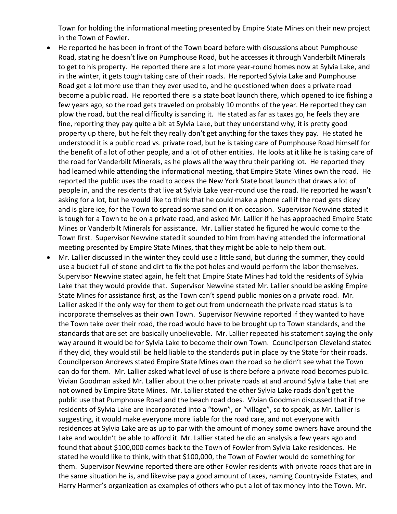Town for holding the informational meeting presented by Empire State Mines on their new project in the Town of Fowler.

- He reported he has been in front of the Town board before with discussions about Pumphouse Road, stating he doesn't live on Pumphouse Road, but he accesses it through Vanderbilt Minerals to get to his property. He reported there are a lot more year-round homes now at Sylvia Lake, and in the winter, it gets tough taking care of their roads. He reported Sylvia Lake and Pumphouse Road get a lot more use than they ever used to, and he questioned when does a private road become a public road. He reported there is a state boat launch there, which opened to ice fishing a few years ago, so the road gets traveled on probably 10 months of the year. He reported they can plow the road, but the real difficulty is sanding it. He stated as far as taxes go, he feels they are fine, reporting they pay quite a bit at Sylvia Lake, but they understand why, it is pretty good property up there, but he felt they really don't get anything for the taxes they pay. He stated he understood it is a public road vs. private road, but he is taking care of Pumphouse Road himself for the benefit of a lot of other people, and a lot of other entities. He looks at it like he is taking care of the road for Vanderbilt Minerals, as he plows all the way thru their parking lot. He reported they had learned while attending the informational meeting, that Empire State Mines own the road. He reported the public uses the road to access the New York State boat launch that draws a lot of people in, and the residents that live at Sylvia Lake year-round use the road. He reported he wasn't asking for a lot, but he would like to think that he could make a phone call if the road gets dicey and is glare ice, for the Town to spread some sand on it on occasion. Supervisor Newvine stated it is tough for a Town to be on a private road, and asked Mr. Lallier if he has approached Empire State Mines or Vanderbilt Minerals for assistance. Mr. Lallier stated he figured he would come to the Town first. Supervisor Newvine stated it sounded to him from having attended the informational meeting presented by Empire State Mines, that they might be able to help them out.
- Mr. Lallier discussed in the winter they could use a little sand, but during the summer, they could use a bucket full of stone and dirt to fix the pot holes and would perform the labor themselves. Supervisor Newvine stated again, he felt that Empire State Mines had told the residents of Sylvia Lake that they would provide that. Supervisor Newvine stated Mr. Lallier should be asking Empire State Mines for assistance first, as the Town can't spend public monies on a private road. Mr. Lallier asked if the only way for them to get out from underneath the private road status is to incorporate themselves as their own Town. Supervisor Newvine reported if they wanted to have the Town take over their road, the road would have to be brought up to Town standards, and the standards that are set are basically unbelievable. Mr. Lallier repeated his statement saying the only way around it would be for Sylvia Lake to become their own Town. Councilperson Cleveland stated if they did, they would still be held liable to the standards put in place by the State for their roads. Councilperson Andrews stated Empire State Mines own the road so he didn't see what the Town can do for them. Mr. Lallier asked what level of use is there before a private road becomes public. Vivian Goodman asked Mr. Lallier about the other private roads at and around Sylvia Lake that are not owned by Empire State Mines. Mr. Lallier stated the other Sylvia Lake roads don't get the public use that Pumphouse Road and the beach road does. Vivian Goodman discussed that if the residents of Sylvia Lake are incorporated into a "town", or "village", so to speak, as Mr. Lallier is suggesting, it would make everyone more liable for the road care, and not everyone with residences at Sylvia Lake are as up to par with the amount of money some owners have around the Lake and wouldn't be able to afford it. Mr. Lallier stated he did an analysis a few years ago and found that about \$100,000 comes back to the Town of Fowler from Sylvia Lake residences. He stated he would like to think, with that \$100,000, the Town of Fowler would do something for them. Supervisor Newvine reported there are other Fowler residents with private roads that are in the same situation he is, and likewise pay a good amount of taxes, naming Countryside Estates, and Harry Harmer's organization as examples of others who put a lot of tax money into the Town. Mr.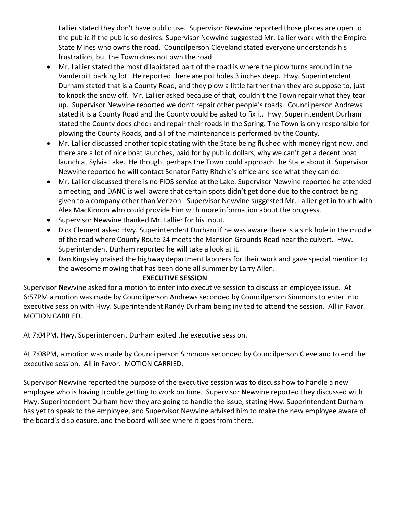Lallier stated they don't have public use. Supervisor Newvine reported those places are open to the public if the public so desires. Supervisor Newvine suggested Mr. Lallier work with the Empire State Mines who owns the road. Councilperson Cleveland stated everyone understands his frustration, but the Town does not own the road.

- Mr. Lallier stated the most dilapidated part of the road is where the plow turns around in the Vanderbilt parking lot. He reported there are pot holes 3 inches deep. Hwy. Superintendent Durham stated that is a County Road, and they plow a little farther than they are suppose to, just to knock the snow off. Mr. Lallier asked because of that, couldn't the Town repair what they tear up. Supervisor Newvine reported we don't repair other people's roads. Councilperson Andrews stated it is a County Road and the County could be asked to fix it. Hwy. Superintendent Durham stated the County does check and repair their roads in the Spring. The Town is only responsible for plowing the County Roads, and all of the maintenance is performed by the County.
- Mr. Lallier discussed another topic stating with the State being flushed with money right now, and there are a lot of nice boat launches, paid for by public dollars, why we can't get a decent boat launch at Sylvia Lake. He thought perhaps the Town could approach the State about it. Supervisor Newvine reported he will contact Senator Patty Ritchie's office and see what they can do.
- Mr. Lallier discussed there is no FIOS service at the Lake. Supervisor Newvine reported he attended a meeting, and DANC is well aware that certain spots didn't get done due to the contract being given to a company other than Verizon. Supervisor Newvine suggested Mr. Lallier get in touch with Alex MacKinnon who could provide him with more information about the progress.
- Supervisor Newvine thanked Mr. Lallier for his input.
- Dick Clement asked Hwy. Superintendent Durham if he was aware there is a sink hole in the middle of the road where County Route 24 meets the Mansion Grounds Road near the culvert. Hwy. Superintendent Durham reported he will take a look at it.
- Dan Kingsley praised the highway department laborers for their work and gave special mention to the awesome mowing that has been done all summer by Larry Allen.

#### **EXECUTIVE SESSION**

Supervisor Newvine asked for a motion to enter into executive session to discuss an employee issue. At 6:57PM a motion was made by Councilperson Andrews seconded by Councilperson Simmons to enter into executive session with Hwy. Superintendent Randy Durham being invited to attend the session. All in Favor. MOTION CARRIED.

At 7:04PM, Hwy. Superintendent Durham exited the executive session.

At 7:08PM, a motion was made by Councilperson Simmons seconded by Councilperson Cleveland to end the executive session. All in Favor. MOTION CARRIED.

Supervisor Newvine reported the purpose of the executive session was to discuss how to handle a new employee who is having trouble getting to work on time. Supervisor Newvine reported they discussed with Hwy. Superintendent Durham how they are going to handle the issue, stating Hwy. Superintendent Durham has yet to speak to the employee, and Supervisor Newvine advised him to make the new employee aware of the board's displeasure, and the board will see where it goes from there.